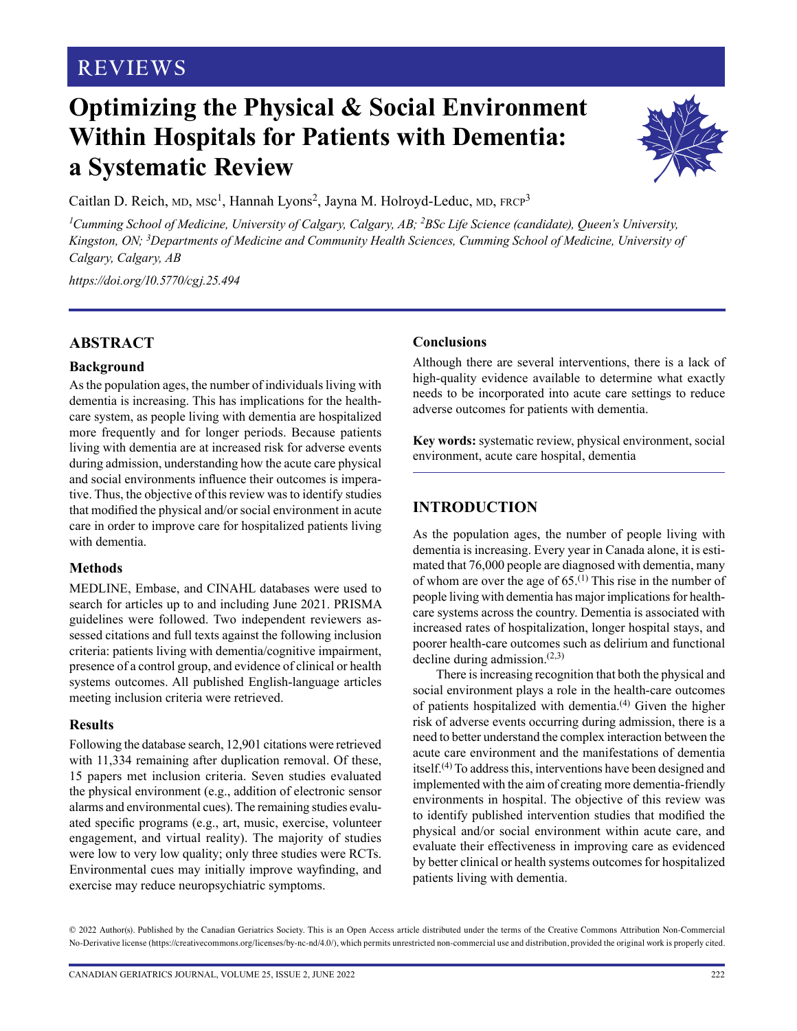## **REVIEWS**

# **Optimizing the Physical & Social Environment Within Hospitals for Patients with Dementia: a Systematic Review**



Caitlan D. Reich, MD, MSc<sup>1</sup>, Hannah Lyons<sup>2</sup>, Jayna M. Holroyd-Leduc, MD, FRCP<sup>3</sup>

<sup>1</sup> Cumming School of Medicine, University of Calgary, Calgary, AB; <sup>2</sup>BSc Life Science (candidate), Queen's University, *Kingston, ON; 3Departments of Medicine and Community Health Sciences, Cumming School of Medicine, University of Calgary, Calgary, AB*

*<https://doi.org/10.5770/cgj.25.494>*

## **ABSTRACT**

#### **Background**

As the population ages, the number of individuals living with dementia is increasing. This has implications for the healthcare system, as people living with dementia are hospitalized more frequently and for longer periods. Because patients living with dementia are at increased risk for adverse events during admission, understanding how the acute care physical and social environments influence their outcomes is imperative. Thus, the objective of this review was to identify studies that modified the physical and/or social environment in acute care in order to improve care for hospitalized patients living with dementia.

#### **Methods**

MEDLINE, Embase, and CINAHL databases were used to search for articles up to and including June 2021. PRISMA guidelines were followed. Two independent reviewers assessed citations and full texts against the following inclusion criteria: patients living with dementia/cognitive impairment, presence of a control group, and evidence of clinical or health systems outcomes. All published English-language articles meeting inclusion criteria were retrieved.

#### **Results**

Following the database search, 12,901 citations were retrieved with 11,334 remaining after duplication removal. Of these, 15 papers met inclusion criteria. Seven studies evaluated the physical environment (e.g., addition of electronic sensor alarms and environmental cues). The remaining studies evaluated specific programs (e.g., art, music, exercise, volunteer engagement, and virtual reality). The majority of studies were low to very low quality; only three studies were RCTs. Environmental cues may initially improve wayfinding, and exercise may reduce neuropsychiatric symptoms.

## **Conclusions**

Although there are several interventions, there is a lack of high-quality evidence available to determine what exactly needs to be incorporated into acute care settings to reduce adverse outcomes for patients with dementia.

**Key words:** systematic review, physical environment, social environment, acute care hospital, dementia

## **INTRODUCTION**

As the population ages, the number of people living with dementia is increasing. Every year in Canada alone, it is estimated that 76,000 people are diagnosed with dementia, many of whom are over the age of  $65$ .<sup>(1)</sup> This rise in the number of people living with dementia has major implications for healthcare systems across the country. Dementia is associated with increased rates of hospitalization, longer hospital stays, and poorer health-care outcomes such as delirium and functional decline during admission.(2,3)

There is increasing recognition that both the physical and social environment plays a role in the health-care outcomes of patients hospitalized with dementia.(4) Given the higher risk of adverse events occurring during admission, there is a need to better understand the complex interaction between the acute care environment and the manifestations of dementia itself.(4) To address this, interventions have been designed and implemented with the aim of creating more dementia-friendly environments in hospital. The objective of this review was to identify published intervention studies that modified the physical and/or social environment within acute care, and evaluate their effectiveness in improving care as evidenced by better clinical or health systems outcomes for hospitalized patients living with dementia.

© 2022 Author(s). Published by the Canadian Geriatrics Society. This is an Open Access article distributed under the terms of the Creative Commons Attribution Non-Commercial No-Derivative license (https://creativecommons.org/licenses/by-nc-nd/4.0/), which permits unrestricted non-commercial use and distribution, provided the original work is properly cited.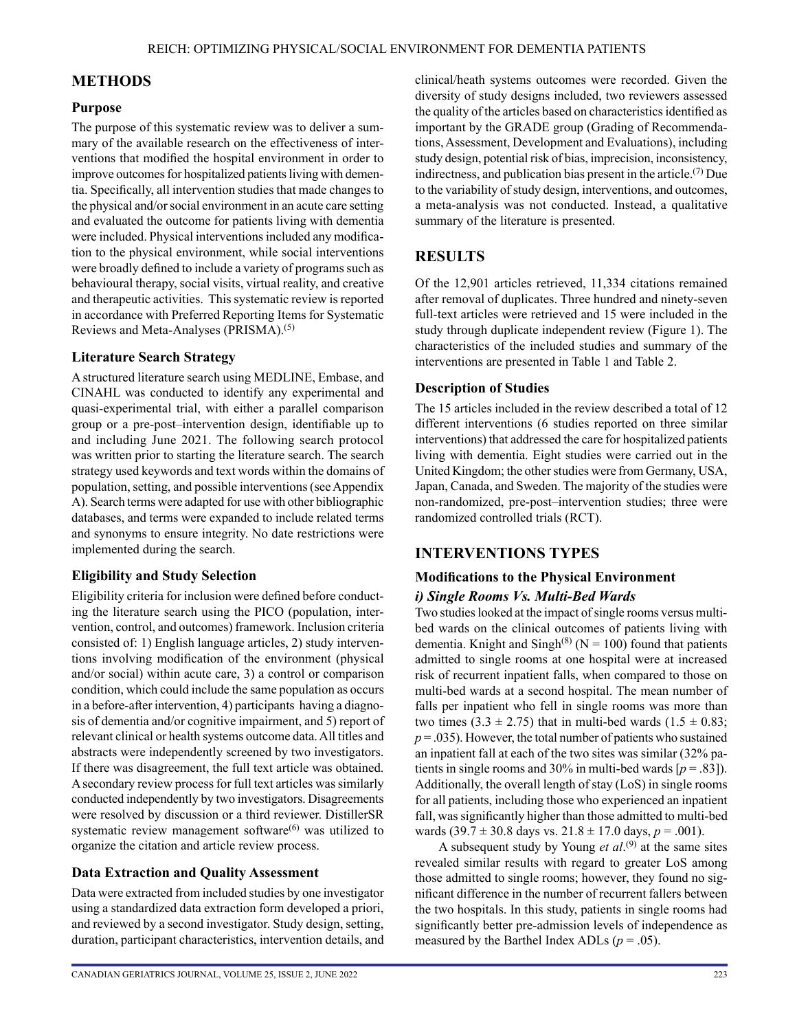## **METHODS**

## **Purpose**

The purpose of this systematic review was to deliver a summary of the available research on the effectiveness of interventions that modified the hospital environment in order to improve outcomes for hospitalized patients living with dementia. Specifically, all intervention studies that made changes to the physical and/or social environment in an acute care setting and evaluated the outcome for patients living with dementia were included. Physical interventions included any modification to the physical environment, while social interventions were broadly defined to include a variety of programs such as behavioural therapy, social visits, virtual reality, and creative and therapeutic activities. This systematic review is reported in accordance with Preferred Reporting Items for Systematic Reviews and Meta-Analyses (PRISMA).(5)

## **Literature Search Strategy**

A structured literature search using MEDLINE, Embase, and CINAHL was conducted to identify any experimental and quasi-experimental trial, with either a parallel comparison group or a pre-post–intervention design, identifiable up to and including June 2021. The following search protocol was written prior to starting the literature search. The search strategy used keywords and text words within the domains of population, setting, and possible interventions (see Appendix A). Search terms were adapted for use with other bibliographic databases, and terms were expanded to include related terms and synonyms to ensure integrity. No date restrictions were implemented during the search.

## **Eligibility and Study Selection**

Eligibility criteria for inclusion were defined before conducting the literature search using the PICO (population, intervention, control, and outcomes) framework. Inclusion criteria consisted of: 1) English language articles, 2) study interventions involving modification of the environment (physical and/or social) within acute care, 3) a control or comparison condition, which could include the same population as occurs in a before-after intervention, 4) participants having a diagnosis of dementia and/or cognitive impairment, and 5) report of relevant clinical or health systems outcome data. All titles and abstracts were independently screened by two investigators. If there was disagreement, the full text article was obtained. A secondary review process for full text articles was similarly conducted independently by two investigators. Disagreements were resolved by discussion or a third reviewer. DistillerSR systematic review management software $(6)$  was utilized to organize the citation and article review process.

## **Data Extraction and Quality Assessment**

Data were extracted from included studies by one investigator using a standardized data extraction form developed a priori, and reviewed by a second investigator. Study design, setting, duration, participant characteristics, intervention details, and clinical/heath systems outcomes were recorded. Given the diversity of study designs included, two reviewers assessed the quality of the articles based on characteristics identified as important by the GRADE group (Grading of Recommendations, Assessment, Development and Evaluations), including study design, potential risk of bias, imprecision, inconsistency, indirectness, and publication bias present in the article.<sup>(7)</sup> Due to the variability of study design, interventions, and outcomes, a meta-analysis was not conducted. Instead, a qualitative summary of the literature is presented.

## **RESULTS**

Of the 12,901 articles retrieved, 11,334 citations remained after removal of duplicates. Three hundred and ninety-seven full-text articles were retrieved and 15 were included in the study through duplicate independent review (Figure 1). The characteristics of the included studies and summary of the interventions are presented in Table 1 and Table 2.

## **Description of Studies**

The 15 articles included in the review described a total of 12 different interventions (6 studies reported on three similar interventions) that addressed the care for hospitalized patients living with dementia. Eight studies were carried out in the United Kingdom; the other studies were from Germany, USA, Japan, Canada, and Sweden. The majority of the studies were non-randomized, pre-post–intervention studies; three were randomized controlled trials (RCT).

## **INTERVENTIONS TYPES**

#### **Modifications to the Physical Environment**

## *i) Single Rooms Vs. Multi-Bed Wards*

Two studies looked at the impact of single rooms versus multibed wards on the clinical outcomes of patients living with dementia. Knight and Singh<sup>(8)</sup> ( $N = 100$ ) found that patients admitted to single rooms at one hospital were at increased risk of recurrent inpatient falls, when compared to those on multi-bed wards at a second hospital. The mean number of falls per inpatient who fell in single rooms was more than two times  $(3.3 \pm 2.75)$  that in multi-bed wards  $(1.5 \pm 0.83)$ ;  $p = 0.035$ ). However, the total number of patients who sustained an inpatient fall at each of the two sites was similar (32% patients in single rooms and 30% in multi-bed wards  $[p = .83]$ ). Additionally, the overall length of stay (LoS) in single rooms for all patients, including those who experienced an inpatient fall, was significantly higher than those admitted to multi-bed wards  $(39.7 \pm 30.8 \text{ days vs. } 21.8 \pm 17.0 \text{ days}, p = .001)$ .

A subsequent study by Young *et al*. (9) at the same sites revealed similar results with regard to greater LoS among those admitted to single rooms; however, they found no significant difference in the number of recurrent fallers between the two hospitals. In this study, patients in single rooms had significantly better pre-admission levels of independence as measured by the Barthel Index ADLs ( $p = .05$ ).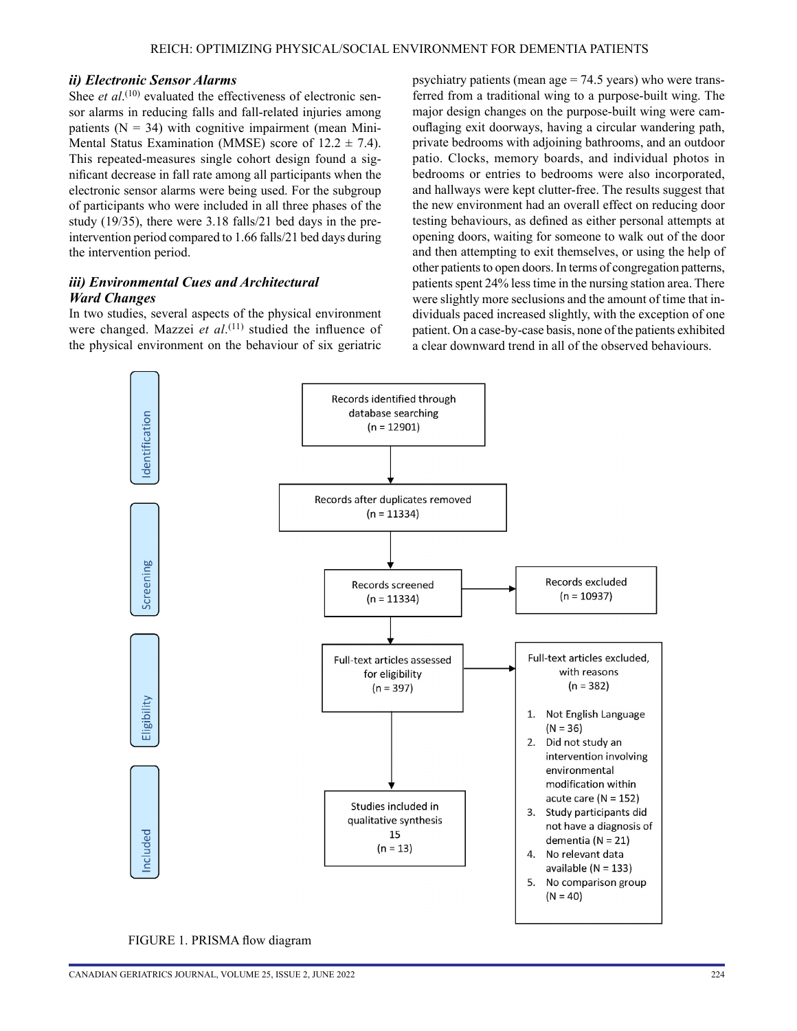#### *ii) Electronic Sensor Alarms*

Shee *et al*.<sup>(10)</sup> evaluated the effectiveness of electronic sensor alarms in reducing falls and fall-related injuries among patients  $(N = 34)$  with cognitive impairment (mean Mini-Mental Status Examination (MMSE) score of  $12.2 \pm 7.4$ ). This repeated-measures single cohort design found a significant decrease in fall rate among all participants when the electronic sensor alarms were being used. For the subgroup of participants who were included in all three phases of the study (19/35), there were 3.18 falls/21 bed days in the preintervention period compared to 1.66 falls/21 bed days during the intervention period.

## *iii) Environmental Cues and Architectural Ward Changes*

In two studies, several aspects of the physical environment were changed. Mazzei *et al*. (11) studied the influence of the physical environment on the behaviour of six geriatric

psychiatry patients (mean age = 74.5 years) who were transferred from a traditional wing to a purpose-built wing. The major design changes on the purpose-built wing were camouflaging exit doorways, having a circular wandering path, private bedrooms with adjoining bathrooms, and an outdoor patio. Clocks, memory boards, and individual photos in bedrooms or entries to bedrooms were also incorporated, and hallways were kept clutter-free. The results suggest that the new environment had an overall effect on reducing door testing behaviours, as defined as either personal attempts at opening doors, waiting for someone to walk out of the door and then attempting to exit themselves, or using the help of other patients to open doors. In terms of congregation patterns, patients spent 24% less time in the nursing station area. There were slightly more seclusions and the amount of time that individuals paced increased slightly, with the exception of one patient. On a case-by-case basis, none of the patients exhibited a clear downward trend in all of the observed behaviours.



FIGURE 1. PRISMA flow diagram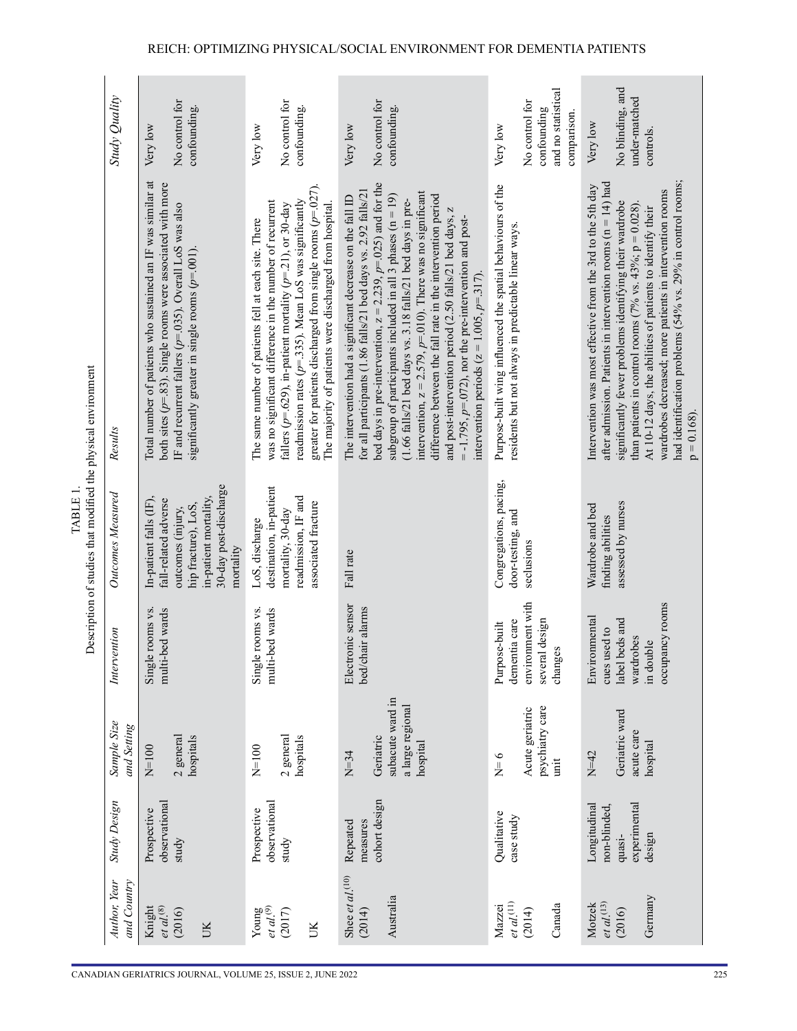| CANADIAN GERIATRICS JOURNAL, VOLUME 25, ISSUE 2, JUNE 202 |  |  |
|-----------------------------------------------------------|--|--|
|                                                           |  |  |

| TABLE 1 | intion of studies that modified the physical envir |
|---------|----------------------------------------------------|
|         |                                                    |

| Study Quality               | No control for<br>confounding.<br>Very low                                                                                                                                                                                                         | No control for<br>confounding.<br>Very low                                                                                                                                                                                                                                                                                                                                         | No control for<br>confounding.<br>Very low                                                                                                                                                                                                                                                                                                                                                                                                                                                                                                                                                                                                                | and no statistical<br>No control for<br>confounding<br>comparison.<br>Very low                                      | No blinding, and<br>under-matched<br>Very low<br>controls.                                                                                                                                                                                                                                                                                                                                                                                                       |
|-----------------------------|----------------------------------------------------------------------------------------------------------------------------------------------------------------------------------------------------------------------------------------------------|------------------------------------------------------------------------------------------------------------------------------------------------------------------------------------------------------------------------------------------------------------------------------------------------------------------------------------------------------------------------------------|-----------------------------------------------------------------------------------------------------------------------------------------------------------------------------------------------------------------------------------------------------------------------------------------------------------------------------------------------------------------------------------------------------------------------------------------------------------------------------------------------------------------------------------------------------------------------------------------------------------------------------------------------------------|---------------------------------------------------------------------------------------------------------------------|------------------------------------------------------------------------------------------------------------------------------------------------------------------------------------------------------------------------------------------------------------------------------------------------------------------------------------------------------------------------------------------------------------------------------------------------------------------|
| Results                     | Total number of patients who sustained an IF was similar at<br>both sites ( $p$ =.83). Single rooms were associated with more<br>IF and recurrent fallers ( $p=0.035$ ). Overall LoS was also<br>significantly greater in single rooms $(p=001)$ . | greater for patients discharged from single rooms ( $p=0.027$ ).<br>readmission rates ( $p = 0.335$ ). Mean LoS was significantly<br>was no significant difference in the number of recurrent<br>fallers ( $p=629$ ), in-patient mortality ( $p=21$ ), or 30-day<br>The majority of patients were discharged from hospital<br>The same number of patients fell at each site. There | bed days in pre-intervention, $z = 2.239$ , $p = .025$ ) and for the<br>for all participants (1.86 falls/21 bed days vs. 2.92 falls/21<br>(1.66 falls/21 bed days vs. 3.18 falls/21 bed days in pre-<br>intervention, $z = 2.579$ , $p=0.01$ ). There was no significant<br>subgroup of participants included in all 3 phases ( $n = 19$ )<br>difference between the fall rate in the intervention period<br>The intervention had a significant decrease on the fall ID<br>and post-intervention period (2.50 falls/21 bed days, z<br>$= -1.795$ , $p = 0.072$ ), nor the pre-intervention and post-<br>intervention periods ( $z = 1.005$ , $p = 317$ ). | Purpose-built wing influenced the spatial behaviours of the<br>residents but not always in predictable linear ways. | had identification problems (54% vs. 29% in control rooms;<br>after admission. Patients in intervention rooms $(n = 14)$ had<br>Intervention was most effective from the 3rd to the 5th day<br>wardrobes decreased; more patients in intervention rooms<br>significantly fewer problems identifying their wardrobe<br>than patients in control rooms (7% vs. 43%; $p = 0.028$ ).<br>At 10-12 days, the abilities of patients to identify their<br>$p = 0.168$ ). |
| Outcomes Measured           | 30-day post-discharge<br>in-patient mortality,<br>In-patient falls (IF),<br>fall-related adverse<br>hip fracture), LoS,<br>outcomes (injury,<br>mortality                                                                                          | destination, in-patient<br>readmission, IF and<br>associated fracture<br>mortality, 30-day<br>LoS, discharge                                                                                                                                                                                                                                                                       | Fall rate                                                                                                                                                                                                                                                                                                                                                                                                                                                                                                                                                                                                                                                 | Congregations, pacing,<br>door-testing, and<br>seclusions                                                           | assessed by nurses<br>Wardrobe and bed<br>finding abilities                                                                                                                                                                                                                                                                                                                                                                                                      |
| Intervention                | multi-bed wards<br>Single rooms vs.                                                                                                                                                                                                                | Single rooms vs.<br>multi-bed wards                                                                                                                                                                                                                                                                                                                                                | Electronic sensor<br>bed/chair alarms                                                                                                                                                                                                                                                                                                                                                                                                                                                                                                                                                                                                                     | environment with<br>dementia care<br>several design<br>Purpose-built<br>changes                                     | occupancy rooms<br>Environmental<br>beds and<br>cues used to<br>wardrobes<br>in double<br>label t                                                                                                                                                                                                                                                                                                                                                                |
| Sample Size<br>and Setting  | 2 general<br>hospitals<br>$N=100$                                                                                                                                                                                                                  | 2 general<br>hospitals<br>$N=100$                                                                                                                                                                                                                                                                                                                                                  | subacute ward in<br>a large regional<br>Geriatric<br>hospital<br>$N=34$                                                                                                                                                                                                                                                                                                                                                                                                                                                                                                                                                                                   | psychiatry care<br>Acute geriatric<br>$N=6$<br>unit                                                                 | Geriatric ward<br>acute care<br>hospital<br>$N=42$                                                                                                                                                                                                                                                                                                                                                                                                               |
| Study Design                | observational<br>Prospective<br>study                                                                                                                                                                                                              | observational<br>Prospective<br>study                                                                                                                                                                                                                                                                                                                                              | cohort design<br>measures<br>Repeated                                                                                                                                                                                                                                                                                                                                                                                                                                                                                                                                                                                                                     | Qualitative<br>case study                                                                                           | experimental<br>Longitudinal<br>non-blinded.<br>design<br>quasi-                                                                                                                                                                                                                                                                                                                                                                                                 |
| Author, Year<br>and Country | $et al.$ $\circled{s}$<br>Knight<br>(2016)<br>UK                                                                                                                                                                                                   | $\begin{array}{c} \text{Young} \\et~al.^{(9)} \end{array}$<br>(2017)<br>UK                                                                                                                                                                                                                                                                                                         | Shee et $al$ <sup>(10)</sup><br>Australia<br>(2014)                                                                                                                                                                                                                                                                                                                                                                                                                                                                                                                                                                                                       | et al. <sup>(11)</sup><br>Mazzei<br>Canada<br>(2014)                                                                | Germany<br>$et al$ <sup>(13)</sup><br>Motzek<br>(2016)                                                                                                                                                                                                                                                                                                                                                                                                           |

#### REICH: OPTIMIZING PHYSICAL/SOCIAL ENVIRONMENT FOR DEMENTIA PATIENTS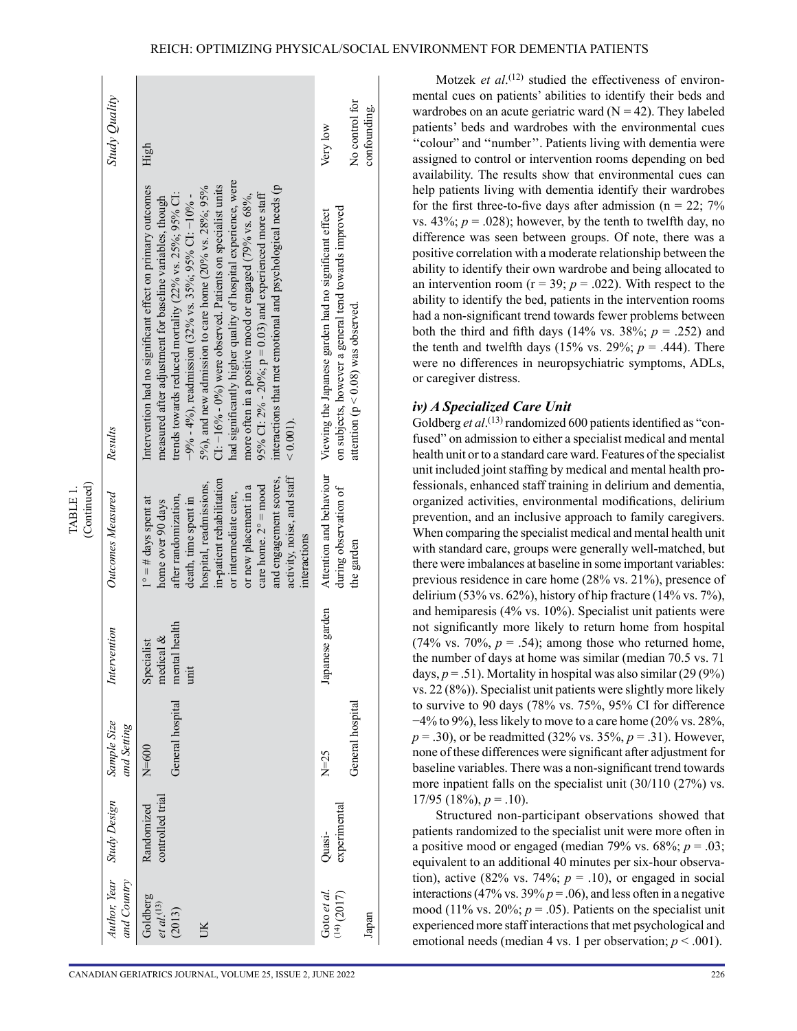|                         | Study Quality              | High                                                                                                                                                                                                                                                                                                                                                                                                                                                                                                                                                                                                                                                            | Very low                                                                                                      | No control for<br>confounding.         |
|-------------------------|----------------------------|-----------------------------------------------------------------------------------------------------------------------------------------------------------------------------------------------------------------------------------------------------------------------------------------------------------------------------------------------------------------------------------------------------------------------------------------------------------------------------------------------------------------------------------------------------------------------------------------------------------------------------------------------------------------|---------------------------------------------------------------------------------------------------------------|----------------------------------------|
|                         | Results                    | had significantly higher quality of hospital experience, were<br>Intervention had no significant effect on primary outcomes<br>$Cl: -16\% - 0\%$ were observed. Patients on specialist units<br>$5\%$ ), and new admission to care home (20% vs. 28%; 95%<br>interactions that met emotional and psychological needs (p<br>trends towards reduced mortality ( $22\%$ vs. $25\%$ ; $95\%$ CI:<br>95% CI: $2\% - 20\%$ ; $p = 0.03$ ) and experienced more staff<br>$-9\% - 4\%$ , readmission (32% vs. 35%; 95% CI: -10% -<br>more often in a positive mood or engaged (79% vs. 68%,<br>measured after adjustment for baseline variables, though<br>$< 0.001$ ). | on subjects, however a general tend towards improved<br>Viewing the Japanese garden had no significant effect | attention ( $p < 0.08$ ) was observed. |
| (Continued)<br>TABLE 1. | Outcomes Measured          | activity, noise, and staff<br>and engagement scores,<br>in-patient rehabilitation<br>hospital, readmissions,<br>care home. $2^\circ$ = mood<br>or new placement in a<br>or intermediate care,<br>after randomization,<br>death, time spent in<br>$1^\circ = \#$ days spent at<br>home over 90 days<br>interactions                                                                                                                                                                                                                                                                                                                                              | Attention and behaviour<br>during observation of                                                              | the garden                             |
|                         | Intervention               | mental health<br>medical $\&$<br>Specialist<br>init                                                                                                                                                                                                                                                                                                                                                                                                                                                                                                                                                                                                             | Japanese garden                                                                                               |                                        |
|                         | Sample Size<br>and Setting | General hospital<br>$N=600$                                                                                                                                                                                                                                                                                                                                                                                                                                                                                                                                                                                                                                     | $N=25$                                                                                                        | General hospital                       |
|                         | Author, Year Study Design  | controlled trial<br>Randomized                                                                                                                                                                                                                                                                                                                                                                                                                                                                                                                                                                                                                                  | experimental<br>Quasi-                                                                                        |                                        |
|                         | and Country                | Goldberg<br>$et al$ <sup>(13)</sup><br>(2013)<br>UК                                                                                                                                                                                                                                                                                                                                                                                                                                                                                                                                                                                                             | Goto et al.<br>$(14)$ (2017)                                                                                  | Japan                                  |

Motzek *et al*.<sup>(12)</sup> studied the effectiveness of environmental cues on patients' abilities to identify their beds and wardrobes on an acute geriatric ward  $(N = 42)$ . They labeled patients' beds and wardrobes with the environmental cues ''colour" and ''number''. Patients living with dementia were assigned to control or intervention rooms depending on bed availability. The results show that environmental cues can help patients living with dementia identify their wardrobes for the first three-to-five days after admission ( $n = 22$ ; 7% vs.  $43\%$ ;  $p = .028$ ); however, by the tenth to twelfth day, no difference was seen between groups. Of note, there was a positive correlation with a moderate relationship between the ability to identify their own wardrobe and being allocated to an intervention room ( $r = 39$ ;  $p = .022$ ). With respect to the ability to identify the bed, patients in the intervention rooms had a non-significant trend towards fewer problems between both the third and fifth days  $(14\% \text{ vs. } 38\%; p = .252)$  and the tenth and twelfth days  $(15\% \text{ vs. } 29\%; p = .444)$ . There were no differences in neuropsychiatric symptoms, ADLs, or caregiver distress.

#### *iv) A Specialized Care Unit*

Goldberg et al.<sup>(13)</sup> randomized 600 patients identified as "confused" on admission to either a specialist medical and mental health unit or to a standard care ward. Features of the specialist unit included joint staffing by medical and mental health pro fessionals, enhanced staff training in delirium and dementia, organized activities, environmental modifications, delirium prevention, and an inclusive approach to family caregivers. When comparing the specialist medical and mental health unit with standard care, groups were generally well-matched, but there were imbalances at baseline in some important variables: previous residence in care home (28% vs. 21%), presence of delirium (53% vs. 62%), history of hip fracture (14% vs. 7%), and hemiparesis (4% vs. 10%). Specialist unit patients were not significantly more likely to return home from hospital  $(74\% \text{ vs. } 70\%, p = .54)$ ; among those who returned home, the number of days at home was similar (median 70.5 vs. 71 days,  $p = .51$ ). Mortality in hospital was also similar (29 (9%) vs. 22 (8%)). Specialist unit patients were slightly more likely to survive to 90 days (78% vs. 75%, 95% CI for difference  $-4\%$  to 9%), less likely to move to a care home (20% vs. 28%, *p* = .30), or be readmitted (32% vs. 35%, *p* = .31). However, none of these differences were significant after adjustment for baseline variables. There was a non-significant trend towards more inpatient falls on the specialist unit (30/110 (27%) vs.  $17/95$  (18%),  $p = .10$ ).

Structured non-participant observations showed that patients randomized to the specialist unit were more often in a positive mood or engaged (median 79% vs.  $68\%$ ;  $p = .03$ ; equivalent to an additional 40 minutes per six-hour observa tion), active (82% vs. 74%;  $p = .10$ ), or engaged in social interactions (47% vs. 39%  $p = .06$ ), and less often in a negative mood (11% vs. 20%;  $p = .05$ ). Patients on the specialist unit experienced more staff interactions that met psychological and emotional needs (median 4 vs. 1 per observation;  $p < .001$ ).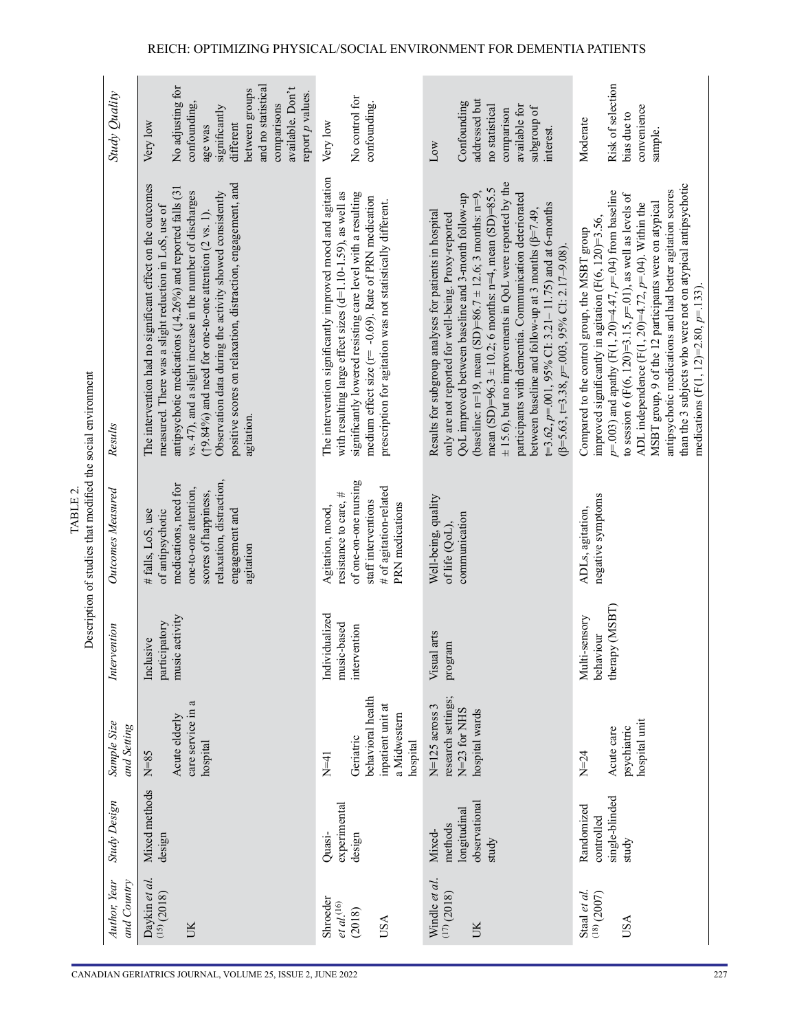| CANADIAN GERIATRICS JOURNAL, VOLUME 25, ISSUE 2, JUNE 202 |  |  |
|-----------------------------------------------------------|--|--|

| TABLE 2. | rintion of studies that modified the social environ |
|----------|-----------------------------------------------------|
|          |                                                     |
|          |                                                     |
|          |                                                     |
|          |                                                     |

|                                                                                   | Study Quality               | and no statistical<br>No adjusting for<br>available. Don't<br>between groups<br>report p values.<br>comparisons<br>confounding,<br>significantly<br>different<br>Very low<br>age was                                                                                                                                                                                                                                                                                         | No control for<br>confounding.<br>Very low                                                                                                                                                                                                                                                                       | addressed but<br>Confounding<br>no statistical<br>available for<br>subgroup of<br>comparison<br>interest.<br>Low                                                                                                                                                                                                                                                                                                                                                                                                                                                                                                       | Risk of selection<br>convenience<br>bias due to<br>Moderate<br>sample.                                                                                                                                                                                                                                                                                                                                                                                                                                                                 |
|-----------------------------------------------------------------------------------|-----------------------------|------------------------------------------------------------------------------------------------------------------------------------------------------------------------------------------------------------------------------------------------------------------------------------------------------------------------------------------------------------------------------------------------------------------------------------------------------------------------------|------------------------------------------------------------------------------------------------------------------------------------------------------------------------------------------------------------------------------------------------------------------------------------------------------------------|------------------------------------------------------------------------------------------------------------------------------------------------------------------------------------------------------------------------------------------------------------------------------------------------------------------------------------------------------------------------------------------------------------------------------------------------------------------------------------------------------------------------------------------------------------------------------------------------------------------------|----------------------------------------------------------------------------------------------------------------------------------------------------------------------------------------------------------------------------------------------------------------------------------------------------------------------------------------------------------------------------------------------------------------------------------------------------------------------------------------------------------------------------------------|
|                                                                                   | Results                     | positive scores on relaxation, distraction, engagement, and<br>The intervention had no significant effect on the outcomes<br>antipsychotic medications ( $\downarrow$ 4.26%) and reported falls (31<br>vs. 47), and a slight increase in the number of discharges<br>Observation data during the activity showed consistently<br>measured. There was a slight reduction in LoS, use of<br>$(19.84\%)$ and need for one-to-one attention $(2 \text{ vs. } 1)$ .<br>agitation. | The intervention significantly improved mood and agitation<br>with resulting large effect sizes (d=1.10-1.59), as well as<br>significantly lowered resisting care level with a resulting<br>medium effect size (r= -0.69). Rate of PRN medication<br>prescription for agitation was not statistically different. | $\pm$ 15.6), but no improvements in QoL were reported by the<br>mean (SD)=96.3 $\pm$ 10.2; 6 months: n=4, mean (SD)=85.5<br>participants with dementia. Communication deteriorated<br>QoL improved between baseline and 3-month follow-up<br>(baseline: n=19, mean (SD)=86.7 ± 12.6; 3 months: n=9<br>t=3.62, $p$ =.001, 95% CI: 3.21–11.75) and at 6-months<br>Results for subgroup analyses for patients in hospital<br>between baseline and follow-up at 3 months ( $\beta$ =7.49.<br>only are not reported for well-being. Proxy-reported<br>$(\beta = 5.63, \pm 3.38, p = 0.003, 95\% \text{ CI: } 2.17 - 9.08).$ | than the 3 subjects who were not on atypical antipsychotic<br>antipsychotic medications and had better agitation scores<br>$p = 0.003$ ) and apathy (F(1, 20)=4.47, $p = 0.04$ ) from baseline<br>to session 6 (F(6, 120)=3.15, $p=01$ ), as well as levels of<br>MSBT group, 9 of the 12 participants were on atypical<br>ADL independence $(F(1, 20)=4.72, p=0.4)$ . Within the<br>improved significantly in agitation $(F(6, 120)=3.56$ ,<br>Compared to the control group, the MSBT group<br>medications (F(1, 12)=2.80, $p=133$ ) |
| Description of studies that modified the social environment<br>TABLE <sub>2</sub> | Outcomes Measured           | relaxation, distraction,<br>medications, need for<br>one-to-one attention,<br>scores of happiness,<br>engagement and<br>of antipsychotic<br># falls, LoS, use<br>agitation                                                                                                                                                                                                                                                                                                   | of one-on-one nursing<br># of agitation-related<br>resistance to care, #<br>staff interventions<br>PRN medications<br>Agitation, mood,                                                                                                                                                                           | Well-being, quality<br>communication<br>of life (QoL),                                                                                                                                                                                                                                                                                                                                                                                                                                                                                                                                                                 | negative symptoms<br>ADLs, agitation,                                                                                                                                                                                                                                                                                                                                                                                                                                                                                                  |
|                                                                                   | Intervention                | music activity<br>participatory<br>Inclusive                                                                                                                                                                                                                                                                                                                                                                                                                                 | Individualized<br>music-based<br>intervention                                                                                                                                                                                                                                                                    | Visual arts<br>program                                                                                                                                                                                                                                                                                                                                                                                                                                                                                                                                                                                                 | therapy (MSBT)<br>Multi-sensory<br>behaviour                                                                                                                                                                                                                                                                                                                                                                                                                                                                                           |
|                                                                                   | Sample Size<br>and Setting  | care service in a<br>Acute elderly<br>hospital<br>$N=85$                                                                                                                                                                                                                                                                                                                                                                                                                     | behavioral health<br>inpatient unit at<br>a Midwestern<br>Geriatric<br>hospital<br>$N=41$                                                                                                                                                                                                                        | research settings;<br>$N=125$ across 3<br>N=23 for NHS<br>hospital wards                                                                                                                                                                                                                                                                                                                                                                                                                                                                                                                                               | hospital unit<br>psychiatric<br>Acute care<br>$N=24$                                                                                                                                                                                                                                                                                                                                                                                                                                                                                   |
|                                                                                   | <b>Study Design</b>         | Mixed methods<br>design                                                                                                                                                                                                                                                                                                                                                                                                                                                      | experimental<br>design<br>Quasi-                                                                                                                                                                                                                                                                                 | observational<br>longitudinal<br>methods<br>Mixed-<br>study                                                                                                                                                                                                                                                                                                                                                                                                                                                                                                                                                            | single-blinded<br>Randomized<br>controlled<br>study                                                                                                                                                                                                                                                                                                                                                                                                                                                                                    |
|                                                                                   | Author, Year<br>and Country | Daykin et al.<br>(15)(2018)<br>UK                                                                                                                                                                                                                                                                                                                                                                                                                                            | Shroeder<br>$et\ al^{(16)}$<br>(2018)<br>USA                                                                                                                                                                                                                                                                     | Windle et al.<br>(17)(2018)<br>UK                                                                                                                                                                                                                                                                                                                                                                                                                                                                                                                                                                                      | Staal et al.<br>$(18)$ (2007)<br>USA                                                                                                                                                                                                                                                                                                                                                                                                                                                                                                   |
|                                                                                   |                             | CANADIAN GERIATRICS JOURNAL, VOLUME 25, ISSUE 2, JUNE 2022                                                                                                                                                                                                                                                                                                                                                                                                                   |                                                                                                                                                                                                                                                                                                                  |                                                                                                                                                                                                                                                                                                                                                                                                                                                                                                                                                                                                                        |                                                                                                                                                                                                                                                                                                                                                                                                                                                                                                                                        |

#### REICH: OPTIMIZING PHYSICAL/SOCIAL ENVIRONMENT FOR DEMENTIA PATIENTS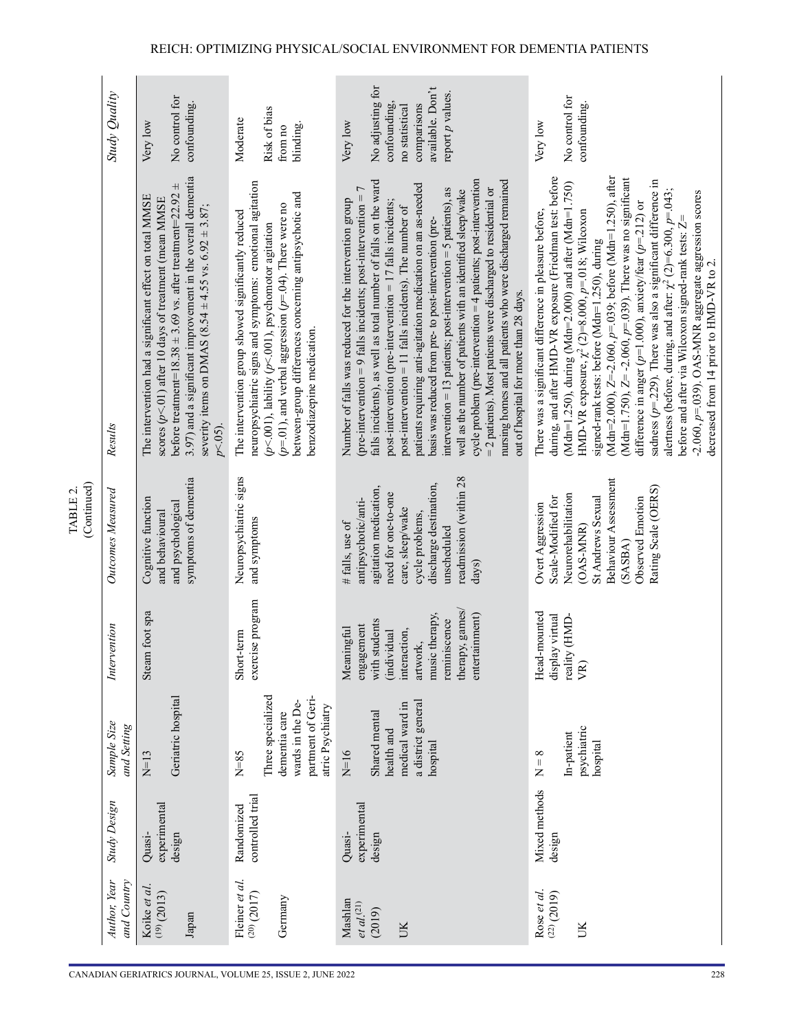|                         | Study Quality               | No control for<br>confounding.<br>Very low                                                                                                                                                                                                                                                                                             | Risk of bias<br>Moderate<br>blinding.<br>from no                                                                                                                                                                                                                                                                                   | No adjusting for<br>available. Don't<br>report p values.<br>confounding,<br>comparisons<br>no statistical<br>Very low                                                                                                                                                                                                                                                                                                                                                                                                                                                                                                                                                                                                                                                                                                                | No control for<br>confounding.<br>Very low                                                                                                                                                                                                                                                                                                                                                                                                                                                                                                                                                                                                                                                                                                                                                 |
|-------------------------|-----------------------------|----------------------------------------------------------------------------------------------------------------------------------------------------------------------------------------------------------------------------------------------------------------------------------------------------------------------------------------|------------------------------------------------------------------------------------------------------------------------------------------------------------------------------------------------------------------------------------------------------------------------------------------------------------------------------------|--------------------------------------------------------------------------------------------------------------------------------------------------------------------------------------------------------------------------------------------------------------------------------------------------------------------------------------------------------------------------------------------------------------------------------------------------------------------------------------------------------------------------------------------------------------------------------------------------------------------------------------------------------------------------------------------------------------------------------------------------------------------------------------------------------------------------------------|--------------------------------------------------------------------------------------------------------------------------------------------------------------------------------------------------------------------------------------------------------------------------------------------------------------------------------------------------------------------------------------------------------------------------------------------------------------------------------------------------------------------------------------------------------------------------------------------------------------------------------------------------------------------------------------------------------------------------------------------------------------------------------------------|
|                         | Results                     | 3.97) and a significant improvement in the overall dementia<br>$\pm$<br>before treatment=18.38 $\pm$ 3.69 vs. after treatment=22.92<br>The intervention had a significant effect on total MMSE<br>scores $(p<.01)$ after 10 days of treatment (mean MMSE<br>severity items on DMAS (8.54 $\pm$ 4.55 vs. 6.92 $\pm$ 3.87;<br>$p<.05$ ). | neuropsychiatric signs and symptoms: emotional agitation<br>between-group differences concerning antipsychotic and<br>$(p=0.1)$ , and verbal aggression $(p=0.4)$ . There were no<br>The intervention group showed significantly reduced<br>$(p<.001)$ , lability $(p<.001)$ , psychomotor agitation<br>benzodiazepine medication. | cycle problem (pre-intervention $=$ 4 patients; post-intervention<br>nursing homes and all patients who were discharged remained<br>falls incidents), as well as total number of falls on the ward<br>patients requiring anti-agitation medication on an as-needed<br>$=$ 2 patients). Most patients were discharged to residential or<br>(pre-intervention = 9 falls incidents; post-intervention = $7$<br>intervention = 13 patients; post-intervention = $5$ patients), as<br>well as the number of patients with an identified sleep/wake<br>Number of falls was reduced for the intervention group<br>post-intervention (pre-intervention = 17 falls incidents;<br>post-intervention $= 11$ falls incidents). The number of<br>basis was reduced from pre- to post-intervention (pre-<br>out of hospital for more than 28 days. | during, and after HMD-VR exposure (Friedman test: before<br>(Mdn=2.000), Z=-2.060, p=.039; before (Mdn=1.250), after<br>(Mdn=1.750), $Z = -2.060$ , $p=0.039$ ). There was no significant<br>sadness ( $p$ =.229). There was also a significant difference in<br>(Mdn=1.250), during (Mdn=2.000) and after (Mdn=1.750)<br>alertness (before, during, and after: $\chi^2$ (2)=6.300, p=.043;<br>-2.060, $p$ =.039). OAS-MNR aggregate aggression scores decreased from 14 prior to HMD-VR to 2.<br>difference in anger ( $p=1.000$ ), anxiety/fear ( $p=212$ ) or<br>HMD-VR exposure, $\chi^2$ (2)=8.000, p=.018; Wilcoxon<br>There was a significant difference in pleasure before,<br>before and after via Wilcoxon signed-rank tests: Z<br>signed-rank tests: before (Mdn=1.250), during |
| (Continued)<br>TABLE 2. | Outcomes Measured           | symptoms of dementia<br>Cognitive function<br>and psychological<br>and behavioural                                                                                                                                                                                                                                                     | Neuropsychiatric signs<br>and symptoms                                                                                                                                                                                                                                                                                             | readmission (within 28<br>discharge destination,<br>agitation medication,<br>need for one-to-one<br>antipsychotic/anti-<br>care, sleep/wake<br>cycle problems,<br># falls, use of<br>unscheduled<br>days)                                                                                                                                                                                                                                                                                                                                                                                                                                                                                                                                                                                                                            | <b>Behaviour Assessment</b><br>Rating Scale (OERS)<br>Neurorehabilitation<br>Observed Emotion<br>Scale-Modified for<br>St Andrews Sexual<br>Overt Aggression<br>(OAS-MNR)<br>(SASBA)                                                                                                                                                                                                                                                                                                                                                                                                                                                                                                                                                                                                       |
|                         | $v$ ention<br>Inter         | Steam foot spa                                                                                                                                                                                                                                                                                                                         | exercise program<br>Short-term                                                                                                                                                                                                                                                                                                     | therapy, games/<br>music therapy,<br>entertainment)<br>reminiscence<br>with students<br>engagement<br>Meaningful<br>(individual<br>interaction,<br>artwork,                                                                                                                                                                                                                                                                                                                                                                                                                                                                                                                                                                                                                                                                          | Head-mounted<br>display virtual<br>reality (HMD-<br>VR)                                                                                                                                                                                                                                                                                                                                                                                                                                                                                                                                                                                                                                                                                                                                    |
|                         | Sample Size<br>and Setting  | Geriatric hospital<br>$N=13$                                                                                                                                                                                                                                                                                                           | Three specialized<br>partment of Geri-<br>wards in the De-<br>atric Psychiatry<br>dementia care<br>$N=85$                                                                                                                                                                                                                          | a district general<br>medical ward in<br>Shared mental<br>health and<br>hospital<br>$N=16$                                                                                                                                                                                                                                                                                                                                                                                                                                                                                                                                                                                                                                                                                                                                           | psychiatric<br>In-patient<br>hospital<br>$= 8$<br>$\overline{z}$                                                                                                                                                                                                                                                                                                                                                                                                                                                                                                                                                                                                                                                                                                                           |
|                         | <b>Study Design</b>         | experimental<br>design<br>Quasi-                                                                                                                                                                                                                                                                                                       | controlled trial<br>Randomized                                                                                                                                                                                                                                                                                                     | experimental<br>Quasi-<br>design                                                                                                                                                                                                                                                                                                                                                                                                                                                                                                                                                                                                                                                                                                                                                                                                     | Mixed methods<br>design                                                                                                                                                                                                                                                                                                                                                                                                                                                                                                                                                                                                                                                                                                                                                                    |
|                         | and Country<br>Author, Year | Koike et al.<br>(19)(2013)<br>Japan                                                                                                                                                                                                                                                                                                    | Fleiner et al.<br>$(20)$ $(2017)$<br>Germany                                                                                                                                                                                                                                                                                       | Mashlan<br>et $al^{(21)}$<br>(2019)<br>UK                                                                                                                                                                                                                                                                                                                                                                                                                                                                                                                                                                                                                                                                                                                                                                                            | Rose et al.<br>(22) (2019)<br>UK                                                                                                                                                                                                                                                                                                                                                                                                                                                                                                                                                                                                                                                                                                                                                           |
|                         |                             |                                                                                                                                                                                                                                                                                                                                        | CANADIAN GERIATRICS JOURNAL, VOLUME 25, ISSUE 2, JUNE 2022                                                                                                                                                                                                                                                                         |                                                                                                                                                                                                                                                                                                                                                                                                                                                                                                                                                                                                                                                                                                                                                                                                                                      | 228                                                                                                                                                                                                                                                                                                                                                                                                                                                                                                                                                                                                                                                                                                                                                                                        |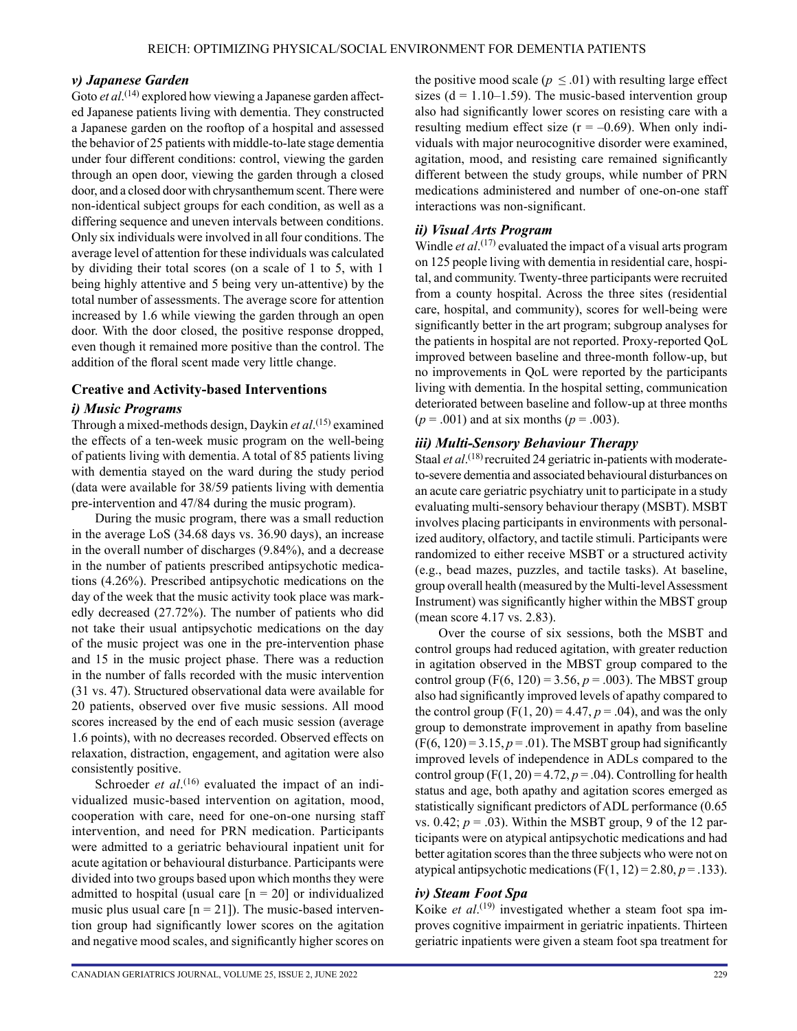#### *v) Japanese Garden*

Goto *et al*.<sup>(14)</sup> explored how viewing a Japanese garden affected Japanese patients living with dementia. They constructed a Japanese garden on the rooftop of a hospital and assessed the behavior of 25 patients with middle-to-late stage dementia under four different conditions: control, viewing the garden through an open door, viewing the garden through a closed door, and a closed door with chrysanthemum scent. There were non-identical subject groups for each condition, as well as a differing sequence and uneven intervals between conditions. Only six individuals were involved in all four conditions. The average level of attention for these individuals was calculated by dividing their total scores (on a scale of 1 to 5, with 1 being highly attentive and 5 being very un-attentive) by the total number of assessments. The average score for attention increased by 1.6 while viewing the garden through an open door. With the door closed, the positive response dropped, even though it remained more positive than the control. The addition of the floral scent made very little change.

#### **Creative and Activity-based Interventions**

#### *i) Music Programs*

Through a mixed-methods design, Daykin *et al*. (15) examined the effects of a ten-week music program on the well-being of patients living with dementia. A total of 85 patients living with dementia stayed on the ward during the study period (data were available for 38/59 patients living with dementia pre-intervention and 47/84 during the music program).

During the music program, there was a small reduction in the average LoS (34.68 days vs. 36.90 days), an increase in the overall number of discharges (9.84%), and a decrease in the number of patients prescribed antipsychotic medications (4.26%). Prescribed antipsychotic medications on the day of the week that the music activity took place was markedly decreased (27.72%). The number of patients who did not take their usual antipsychotic medications on the day of the music project was one in the pre-intervention phase and 15 in the music project phase. There was a reduction in the number of falls recorded with the music intervention (31 vs. 47). Structured observational data were available for 20 patients, observed over five music sessions. All mood scores increased by the end of each music session (average 1.6 points), with no decreases recorded. Observed effects on relaxation, distraction, engagement, and agitation were also consistently positive.

Schroeder *et al*.<sup>(16)</sup> evaluated the impact of an individualized music-based intervention on agitation, mood, cooperation with care, need for one-on-one nursing staff intervention, and need for PRN medication. Participants were admitted to a geriatric behavioural inpatient unit for acute agitation or behavioural disturbance. Participants were divided into two groups based upon which months they were admitted to hospital (usual care  $[n = 20]$  or individualized music plus usual care  $[n = 21]$ ). The music-based intervention group had significantly lower scores on the agitation and negative mood scales, and significantly higher scores on the positive mood scale ( $p \leq 0.01$ ) with resulting large effect sizes  $(d = 1.10-1.59)$ . The music-based intervention group also had significantly lower scores on resisting care with a resulting medium effect size  $(r = -0.69)$ . When only individuals with major neurocognitive disorder were examined, agitation, mood, and resisting care remained significantly different between the study groups, while number of PRN medications administered and number of one-on-one staff interactions was non-significant.

#### *ii) Visual Arts Program*

Windle *et al*. (17) evaluated the impact of a visual arts program on 125 people living with dementia in residential care, hospital, and community. Twenty-three participants were recruited from a county hospital. Across the three sites (residential care, hospital, and community), scores for well-being were significantly better in the art program; subgroup analyses for the patients in hospital are not reported. Proxy-reported QoL improved between baseline and three-month follow-up, but no improvements in QoL were reported by the participants living with dementia. In the hospital setting, communication deteriorated between baseline and follow-up at three months  $(p = .001)$  and at six months  $(p = .003)$ .

#### *iii) Multi-Sensory Behaviour Therapy*

Staal *et al*.<sup>(18)</sup> recruited 24 geriatric in-patients with moderateto-severe dementia and associated behavioural disturbances on an acute care geriatric psychiatry unit to participate in a study evaluating multi-sensory behaviour therapy (MSBT). MSBT involves placing participants in environments with personalized auditory, olfactory, and tactile stimuli. Participants were randomized to either receive MSBT or a structured activity (e.g., bead mazes, puzzles, and tactile tasks). At baseline, group overall health (measured by the Multi-level Assessment Instrument) was significantly higher within the MBST group (mean score 4.17 vs. 2.83).

Over the course of six sessions, both the MSBT and control groups had reduced agitation, with greater reduction in agitation observed in the MBST group compared to the control group (F(6, 120) = 3.56,  $p = .003$ ). The MBST group also had significantly improved levels of apathy compared to the control group  $(F(1, 20) = 4.47, p = .04)$ , and was the only group to demonstrate improvement in apathy from baseline  $(F(6, 120) = 3.15, p = .01)$ . The MSBT group had significantly improved levels of independence in ADLs compared to the control group  $(F(1, 20) = 4.72, p = .04)$ . Controlling for health status and age, both apathy and agitation scores emerged as statistically significant predictors of ADL performance (0.65 vs.  $0.42$ ;  $p = .03$ ). Within the MSBT group, 9 of the 12 participants were on atypical antipsychotic medications and had better agitation scores than the three subjects who were not on atypical antipsychotic medications  $(F(1, 12) = 2.80, p = .133)$ .

#### *iv) Steam Foot Spa*

Koike *et al*. (19) investigated whether a steam foot spa improves cognitive impairment in geriatric inpatients. Thirteen geriatric inpatients were given a steam foot spa treatment for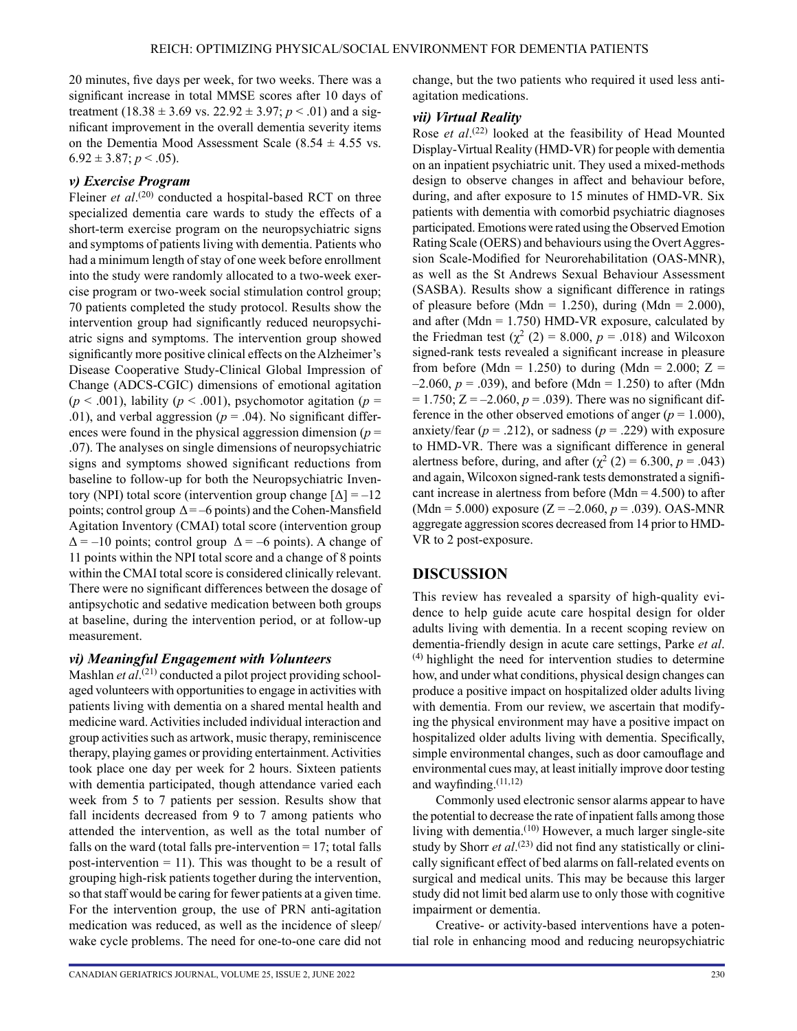20 minutes, five days per week, for two weeks. There was a significant increase in total MMSE scores after 10 days of treatment (18.38  $\pm$  3.69 vs. 22.92  $\pm$  3.97; *p* < .01) and a significant improvement in the overall dementia severity items on the Dementia Mood Assessment Scale (8.54  $\pm$  4.55 vs.  $6.92 \pm 3.87$ ;  $p < .05$ ).

#### *v) Exercise Program*

Fleiner *et al.*<sup>(20)</sup> conducted a hospital-based RCT on three specialized dementia care wards to study the effects of a short-term exercise program on the neuropsychiatric signs and symptoms of patients living with dementia. Patients who had a minimum length of stay of one week before enrollment into the study were randomly allocated to a two-week exercise program or two-week social stimulation control group; 70 patients completed the study protocol. Results show the intervention group had significantly reduced neuropsychiatric signs and symptoms. The intervention group showed significantly more positive clinical effects on the Alzheimer's Disease Cooperative Study-Clinical Global Impression of Change (ADCS-CGIC) dimensions of emotional agitation  $(p < .001)$ , lability  $(p < .001)$ , psychomotor agitation  $(p = .001)$ .01), and verbal aggression ( $p = .04$ ). No significant differences were found in the physical aggression dimension  $(p =$ .07). The analyses on single dimensions of neuropsychiatric signs and symptoms showed significant reductions from baseline to follow-up for both the Neuropsychiatric Inventory (NPI) total score (intervention group change  $[\Delta] = -12$ points; control group  $\Delta = -6$  points) and the Cohen-Mansfield Agitation Inventory (CMAI) total score (intervention group  $\Delta$  = –10 points; control group  $\Delta$  = –6 points). A change of 11 points within the NPI total score and a change of 8 points within the CMAI total score is considered clinically relevant. There were no significant differences between the dosage of antipsychotic and sedative medication between both groups at baseline, during the intervention period, or at follow-up measurement.

#### *vi) Meaningful Engagement with Volunteers*

Mashlan *et al*. (21) conducted a pilot project providing schoolaged volunteers with opportunities to engage in activities with patients living with dementia on a shared mental health and medicine ward. Activities included individual interaction and group activities such as artwork, music therapy, reminiscence therapy, playing games or providing entertainment. Activities took place one day per week for 2 hours. Sixteen patients with dementia participated, though attendance varied each week from 5 to 7 patients per session. Results show that fall incidents decreased from 9 to 7 among patients who attended the intervention, as well as the total number of falls on the ward (total falls pre-intervention  $= 17$ ; total falls post-intervention  $= 11$ ). This was thought to be a result of grouping high-risk patients together during the intervention, so that staff would be caring for fewer patients at a given time. For the intervention group, the use of PRN anti-agitation medication was reduced, as well as the incidence of sleep/ wake cycle problems. The need for one-to-one care did not change, but the two patients who required it used less antiagitation medications.

#### *vii) Virtual Reality*

Rose *et al*. (22) looked at the feasibility of Head Mounted Display-Virtual Reality (HMD-VR) for people with dementia on an inpatient psychiatric unit. They used a mixed-methods design to observe changes in affect and behaviour before, during, and after exposure to 15 minutes of HMD-VR. Six patients with dementia with comorbid psychiatric diagnoses participated. Emotions were rated using the Observed Emotion Rating Scale (OERS) and behaviours using the Overt Aggression Scale-Modified for Neurorehabilitation (OAS-MNR), as well as the St Andrews Sexual Behaviour Assessment (SASBA). Results show a significant difference in ratings of pleasure before (Mdn = 1.250), during (Mdn = 2.000), and after (Mdn  $= 1.750$ ) HMD-VR exposure, calculated by the Friedman test  $(\chi^2 (2) = 8.000, p = .018)$  and Wilcoxon signed-rank tests revealed a significant increase in pleasure from before (Mdn = 1.250) to during (Mdn = 2.000; Z =  $-2.060, p = .039$ ), and before (Mdn = 1.250) to after (Mdn  $= 1.750$ ;  $Z = -2.060$ ,  $p = .039$ ). There was no significant difference in the other observed emotions of anger  $(p = 1.000)$ , anxiety/fear  $(p = .212)$ , or sadness  $(p = .229)$  with exposure to HMD-VR. There was a significant difference in general alertness before, during, and after  $(\chi^2 (2) = 6.300, p = .043)$ and again, Wilcoxon signed-rank tests demonstrated a significant increase in alertness from before (Mdn  $=$  4.500) to after (Mdn = 5.000) exposure (Z = –2.060, *p* = .039). OAS-MNR aggregate aggression scores decreased from 14 prior to HMD-VR to 2 post-exposure.

## **DISCUSSION**

This review has revealed a sparsity of high-quality evidence to help guide acute care hospital design for older adults living with dementia. In a recent scoping review on dementia-friendly design in acute care settings, Parke *et al*. (4) highlight the need for intervention studies to determine how, and under what conditions, physical design changes can produce a positive impact on hospitalized older adults living with dementia. From our review, we ascertain that modifying the physical environment may have a positive impact on hospitalized older adults living with dementia. Specifically, simple environmental changes, such as door camouflage and environmental cues may, at least initially improve door testing and wayfinding. $(11,12)$ 

Commonly used electronic sensor alarms appear to have the potential to decrease the rate of inpatient falls among those living with dementia.(10) However, a much larger single-site study by Shorr *et al.*<sup>(23)</sup> did not find any statistically or clinically significant effect of bed alarms on fall-related events on surgical and medical units. This may be because this larger study did not limit bed alarm use to only those with cognitive impairment or dementia.

Creative- or activity-based interventions have a potential role in enhancing mood and reducing neuropsychiatric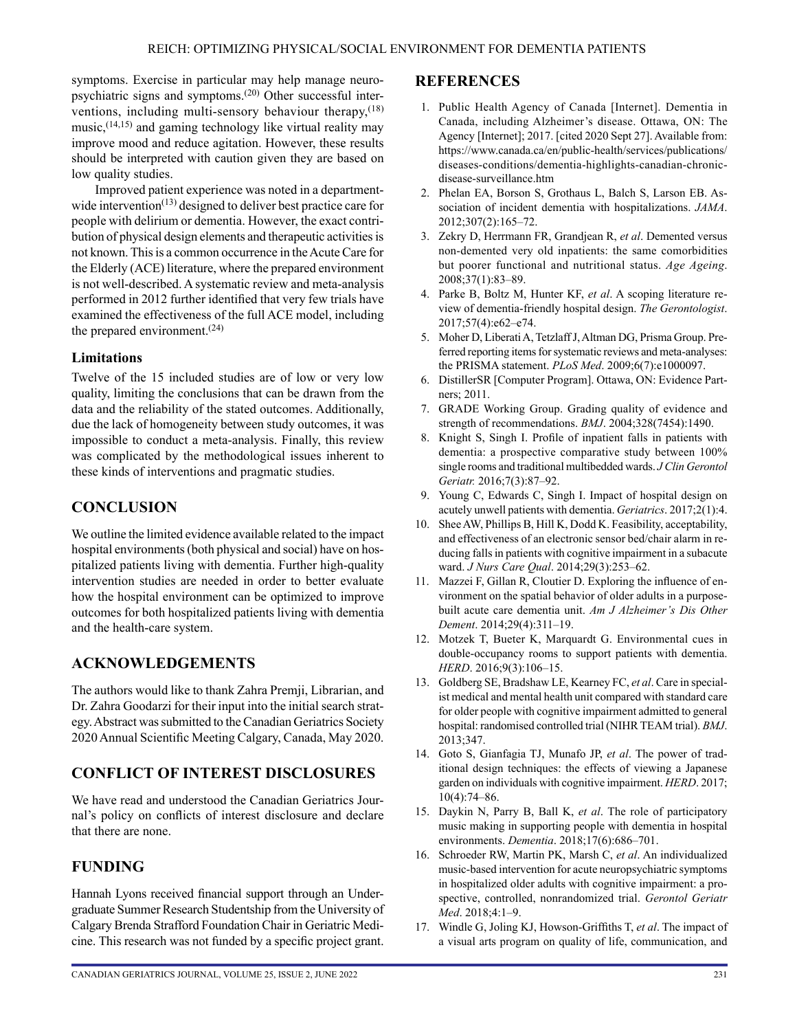symptoms. Exercise in particular may help manage neuropsychiatric signs and symptoms.(20) Other successful interventions, including multi-sensory behaviour therapy, $(18)$  $music,$ <sup> $(14,15)$ </sup> and gaming technology like virtual reality may improve mood and reduce agitation. However, these results should be interpreted with caution given they are based on low quality studies.

Improved patient experience was noted in a departmentwide intervention $(13)$  designed to deliver best practice care for people with delirium or dementia. However, the exact contribution of physical design elements and therapeutic activities is not known. This is a common occurrence in the Acute Care for the Elderly (ACE) literature, where the prepared environment is not well-described. A systematic review and meta-analysis performed in 2012 further identified that very few trials have examined the effectiveness of the full ACE model, including the prepared environment. $(24)$ 

## **Limitations**

Twelve of the 15 included studies are of low or very low quality, limiting the conclusions that can be drawn from the data and the reliability of the stated outcomes. Additionally, due the lack of homogeneity between study outcomes, it was impossible to conduct a meta-analysis. Finally, this review was complicated by the methodological issues inherent to these kinds of interventions and pragmatic studies.

## **CONCLUSION**

We outline the limited evidence available related to the impact hospital environments (both physical and social) have on hospitalized patients living with dementia. Further high-quality intervention studies are needed in order to better evaluate how the hospital environment can be optimized to improve outcomes for both hospitalized patients living with dementia and the health-care system.

## **ACKNOWLEDGEMENTS**

The authors would like to thank Zahra Premji, Librarian, and Dr. Zahra Goodarzi for their input into the initial search strategy. Abstract was submitted to the Canadian Geriatrics Society 2020 Annual Scientific Meeting Calgary, Canada, May 2020.

## **CONFLICT OF INTEREST DISCLOSURES**

We have read and understood the Canadian Geriatrics Journal's policy on conflicts of interest disclosure and declare that there are none.

## **FUNDING**

Hannah Lyons received financial support through an Undergraduate Summer Research Studentship from the University of Calgary Brenda Strafford Foundation Chair in Geriatric Medicine. This research was not funded by a specific project grant.

## **REFERENCES**

- 1. Public Health Agency of Canada [Internet]. Dementia in Canada, including Alzheimer's disease. Ottawa, ON: The Agency [Internet]; 2017. [cited 2020 Sept 27]. Available from: [https://www.canada.ca/en/public-health/services/publications/](https://www.canada.ca/en/public-health/services/publications/diseases-conditions/dementia-highlights-canadian-chronic-disease-surveillance.htm) [diseases-conditions/dementia-highlights-canadian-chronic](https://www.canada.ca/en/public-health/services/publications/diseases-conditions/dementia-highlights-canadian-chronic-disease-surveillance.htm)[disease-surveillance.htm](https://www.canada.ca/en/public-health/services/publications/diseases-conditions/dementia-highlights-canadian-chronic-disease-surveillance.htm)
- 2. Phelan EA, Borson S, Grothaus L, Balch S, Larson EB. Association of incident dementia with hospitalizations. *JAMA*. 2012;307(2):165–72.
- 3. Zekry D, Herrmann FR, Grandjean R, *et al*. Demented versus non-demented very old inpatients: the same comorbidities but poorer functional and nutritional status. *Age Ageing*. 2008;37(1):83–89.
- 4. Parke B, Boltz M, Hunter KF, *et al*. A scoping literature review of dementia-friendly hospital design. *The Gerontologist*. 2017;57(4):e62–e74.
- 5. Moher D, Liberati A, Tetzlaff J, Altman DG, Prisma Group. Preferred reporting items for systematic reviews and meta-analyses: the PRISMA statement. *PLoS Med*. 2009;6(7):e1000097.
- 6. DistillerSR [Computer Program]. Ottawa, ON: Evidence Partners; 2011.
- 7. GRADE Working Group. Grading quality of evidence and strength of recommendations. *BMJ*. 2004;328(7454):1490.
- 8. Knight S, Singh I. Profile of inpatient falls in patients with dementia: a prospective comparative study between 100% single rooms and traditional multibedded wards. *J Clin Gerontol Geriatr.* 2016;7(3):87–92.
- 9. Young C, Edwards C, Singh I. Impact of hospital design on acutely unwell patients with dementia. *Geriatrics*. 2017;2(1):4.
- 10. Shee AW, Phillips B, Hill K, Dodd K. Feasibility, acceptability, and effectiveness of an electronic sensor bed/chair alarm in reducing falls in patients with cognitive impairment in a subacute ward. *J Nurs Care Qual*. 2014;29(3):253–62.
- 11. Mazzei F, Gillan R, Cloutier D. Exploring the influence of environment on the spatial behavior of older adults in a purposebuilt acute care dementia unit. *Am J Alzheimer's Dis Other Dement*. 2014;29(4):311–19.
- 12. Motzek T, Bueter K, Marquardt G. Environmental cues in double-occupancy rooms to support patients with dementia. *HERD*. 2016;9(3):106–15.
- 13. Goldberg SE, Bradshaw LE, Kearney FC, *et al*. Care in specialist medical and mental health unit compared with standard care for older people with cognitive impairment admitted to general hospital: randomised controlled trial (NIHR TEAM trial). *BMJ*. 2013;347.
- 14. Goto S, Gianfagia TJ, Munafo JP, *et al*. The power of traditional design techniques: the effects of viewing a Japanese garden on individuals with cognitive impairment. *HERD*. 2017; 10(4):74–86.
- 15. Daykin N, Parry B, Ball K, *et al*. The role of participatory music making in supporting people with dementia in hospital environments. *Dementia*. 2018;17(6):686–701.
- 16. Schroeder RW, Martin PK, Marsh C, *et al*. An individualized music-based intervention for acute neuropsychiatric symptoms in hospitalized older adults with cognitive impairment: a prospective, controlled, nonrandomized trial. *Gerontol Geriatr Med*. 2018;4:1–9.
- 17. Windle G, Joling KJ, Howson-Griffiths T, *et al*. The impact of a visual arts program on quality of life, communication, and